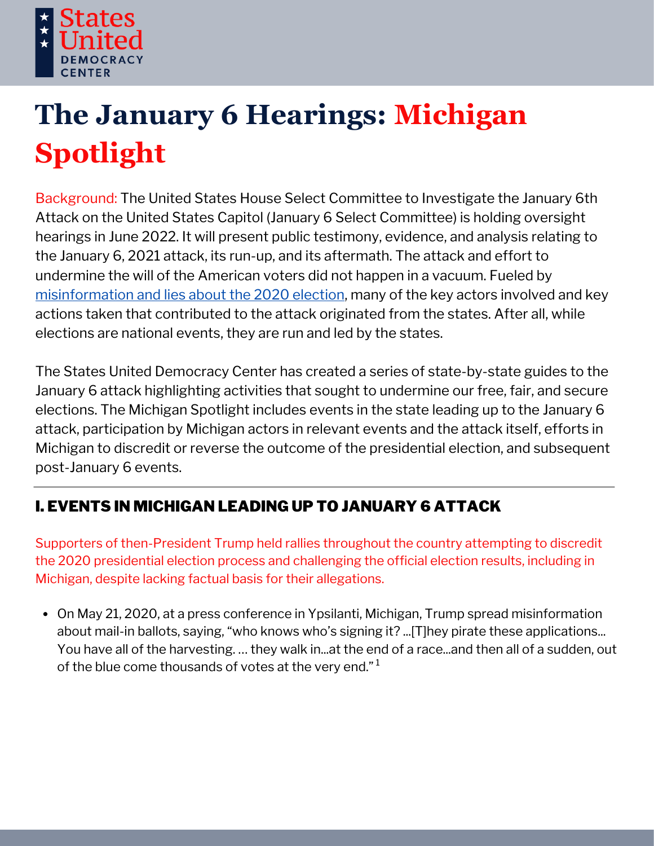

# **The January 6 Hearings: Michigan Spotlight**

Background: The United States House Select Committee to Investigate the January 6th Attack on the United States Capitol (January 6 Select Committee) is holding oversight hearings in June 2022. It will present public testimony, evidence, and analysis relating to the January 6, 2021 attack, its run-up, and its aftermath. The attack and effort to undermine the will of the American voters did not happen in a vacuum. Fueled by [misinformation](https://statesuniteddemocracy.org/wp-content/uploads/2021/01/000A-Myths-and-Facts-of-the-2020-Presidential-Election-20210113-FINAL.pdf) and lies about the 2020 election, many of the key actors involved and key actions taken that contributed to the attack originated from the states. After all, while elections are national events, they are run and led by the states.

The States United Democracy Center has created a series of state-by-state guides to the January 6 attack highlighting activities that sought to undermine our free, fair, and secure elections. The Michigan Spotlight includes events in the state leading up to the January 6 attack, participation by Michigan actors in relevant events and the attack itself, efforts in Michigan to discredit or reverse the outcome of the presidential election, and subsequent post-January 6 events.

# I. EVENTS IN MICHIGAN LEADING UP TO JANUARY 6 ATTACK

Supporters of then-President Trump held rallies throughout the country attempting to discredit the 2020 presidential election process and challenging the official election results, including in Michigan, despite lacking factual basis for their allegations.

On May 21, 2020, at a press conference in Ypsilanti, Michigan, Trump spread misinformation about mail-in ballots, [saying,](https://trumpwhitehouse.archives.gov/briefings-statements/remarks-president-trump-listening-session-african-american-leaders-ypsilanti-mi/) "who knows who's signing it? ...[T]hey pirate these applications... You have all of the harvesting. … they walk in...at the end of a race...and then all of a sudden, out of the blue come thousands of votes at the very end." $^{\rm 1}$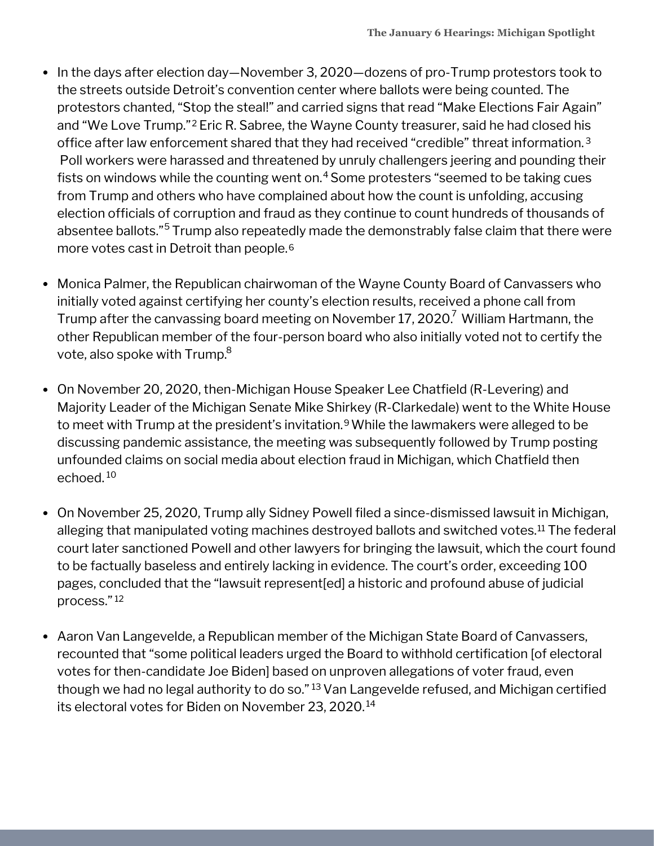- In the days after election day—November 3, 2020—dozens of pro-Trump protestors took to the streets outside Detroit's convention center where ballots were being counted. The protestors chanted, "Stop the steal!" and carried signs that read "Make Elections Fair Again" and "We Love Trump."<sup>2</sup> Eric R. Sabree, the Wayne County treasurer, said he had closed his office after law enforcement shared that they had received "credible" threat information. 3 Poll workers were harassed and threatened by unruly challengers jeering and pounding their fists on windows while the counting went on.<sup>4</sup> Some protesters "seemed to be taking cues from Trump and others who have complained about how the count is unfolding, accusing election officials of corruption and fraud as they continue to count hundreds of thousands of absentee ballots."<sup>5</sup> Trump also repeatedly made the demonstrably false claim that there were more votes cast in Detroit than people. 6
- Monica Palmer, the Republican chairwoman of the Wayne County Board of Canvassers who initially voted against certifying her county's election results, received a phone call from Trump after the canvassing board meeting on November 17, 2020. $^7$  William Hartmann, the other Republican member of the four-person board who also initially voted not to certify the vote, also spoke with Trump. 8
- On November 20, 2020, then-Michigan House Speaker Lee Chatfield (R-Levering) and Majority Leader of the Michigan Senate Mike Shirkey (R-Clarkedale) went to the White House to meet with Trump at the president's invitation.<sup>9</sup> While the lawmakers were alleged to be discussing pandemic assistance, the meeting was subsequently followed by Trump posting unfounded claims on social media about election fraud in Michigan, which Chatfield then echoed. <sup>10</sup>
- On November 25, 2020, Trump ally Sidney Powell filed a since-dismissed lawsuit in Michigan, alleging that manipulated voting machines destroyed ballots and switched votes.<sup>11</sup> The federal court later sanctioned Powell and other lawyers for bringing the lawsuit, which the court found to be factually baseless and entirely lacking in evidence. The court's order, exceeding 100 pages, concluded that the "lawsuit represent[ed] a historic and profound abuse of judicial process." 12
- Aaron Van Langevelde, a Republican member of the Michigan State Board of Canvassers, recounted that "some political leaders urged the Board to withhold certification [of electoral votes for then-candidate Joe Biden] based on unproven allegations of voter fraud, even though we had no legal authority to do so." <sup>13</sup> Van Langevelde refused, and Michigan certified its electoral votes for Biden on November 23, 2020. 14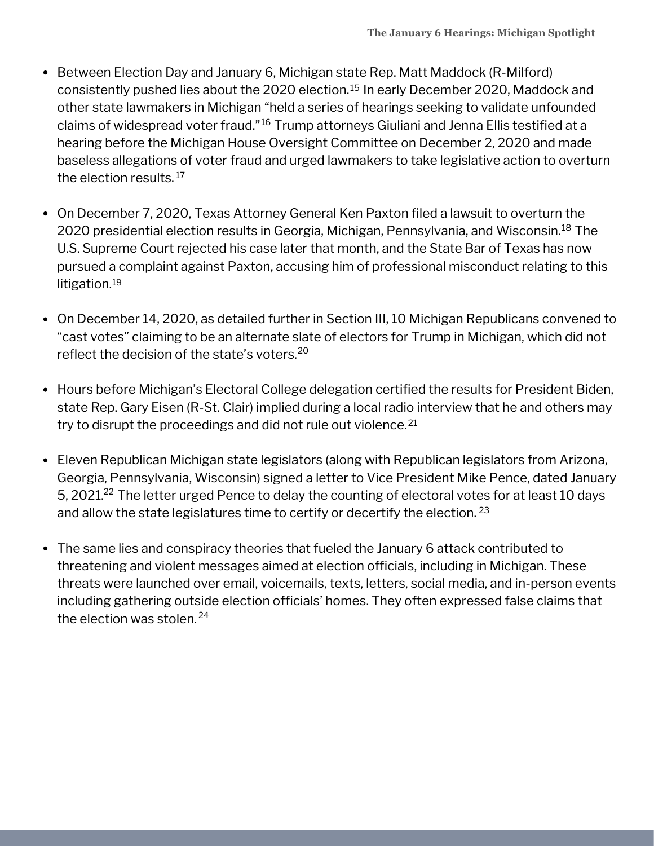- Between Election Day and January 6, Michigan state Rep. Matt Maddock (R-Milford) consistently pushed lies about the 2020 election.<sup>15</sup> In early December 2020, Maddock and other state lawmakers in Michigan "held a series of hearings seeking to validate unfounded claims of widespread voter fraud."<sup>16</sup> Trump attorneys Giuliani and Jenna Ellis testified at a hearing before the Michigan House Oversight Committee on December 2, 2020 and made baseless allegations of voter fraud and urged lawmakers to take legislative action to overturn the election results. 17
- On December 7, 2020, Texas Attorney General Ken Paxton filed a lawsuit to overturn the 2020 presidential election results in Georgia, Michigan, Pennsylvania, and Wisconsin. $^{\rm 18}$  The U.S. Supreme Court rejected his case later that month, and the State Bar of Texas has now pursued a complaint against Paxton, accusing him of professional misconduct relating to this litigation. 19
- On December 14, 2020, as detailed further in Section III, 10 Michigan Republicans convened to "cast votes" claiming to be an alternate slate of electors for Trump in Michigan, which did not reflect the decision of the state's voters. 20
- Hours before Michigan's Electoral College delegation certified the results for President Biden, state Rep. Gary Eisen (R-St. Clair) implied during a local radio interview that he and others may try to disrupt the proceedings and did not rule out violence. 21
- Eleven Republican Michigan state legislators (along with Republican legislators from Arizona, Georgia, Pennsylvania, Wisconsin) signed a letter to Vice President Mike Pence, dated January 5, 2021. $^{22}$  The letter urged Pence to delay the counting of electoral votes for at least 10 days and allow the state legislatures time to certify or decertify the election.  $^{23}$
- The same lies and conspiracy theories that fueled the January 6 attack contributed to threatening and violent messages aimed at election officials, including in Michigan. These threats were launched over email, voicemails, texts, letters, social media, and in-person events including gathering outside election officials' homes. They often expressed false claims that the election was stolen. 24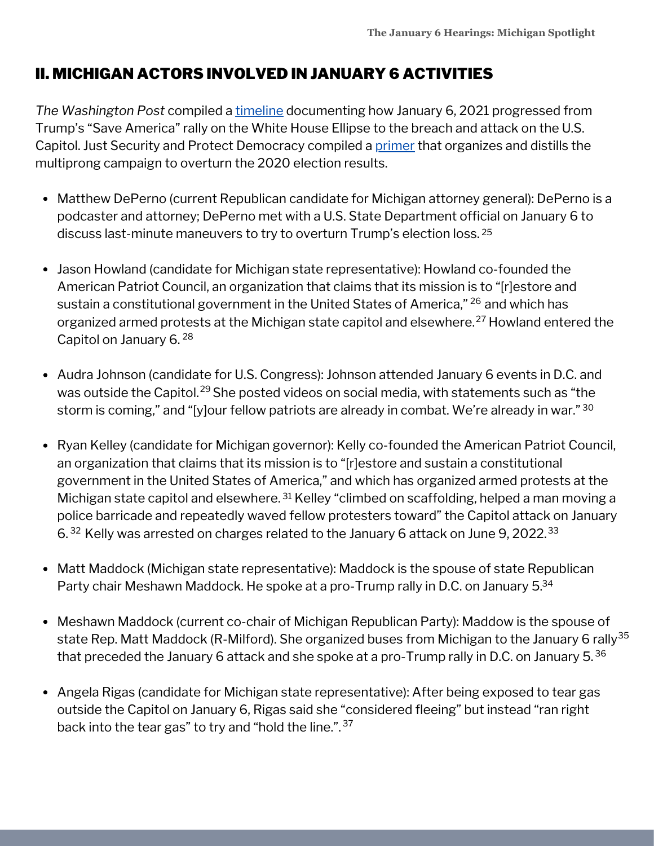## II. MICHIGAN ACTORS INVOLVED IN JANUARY 6 ACTIVITIES

*The Washington Post* compiled a [timeline](https://www.washingtonpost.com/nation/interactive/2021/capitol-insurrection-visual-timeline/) documenting how January 6, 2021 progressed from Trump's "Save America" rally on the White House Ellipse to the breach and attack on the U.S. Capitol. Just Security and Protect Democracy compiled a [primer](https://www.justsecurity.org/wp-content/uploads/2022/06/primer-on-january-6th-select-committee-hearings.pdf) that organizes and distills the multiprong campaign to overturn the 2020 election results.

- Matthew DePerno (current Republican candidate for Michigan attorney general): DePerno is a podcaster and attorney; DePerno met with a U.S. State Department official on January 6 to discuss last-minute maneuvers to try to overturn Trump's election loss. 25
- Jason Howland (candidate for Michigan state representative): Howland co-founded the American Patriot Council, an organization that claims that its mission is to "[r]estore and sustain a constitutional government in the United States of America," <sup>26</sup> and which has organized armed protests at the Michigan state capitol and elsewhere.<sup>27</sup> Howland entered the Capitol on January 6. 28
- Audra Johnson (candidate for U.S. Congress): Johnson attended January 6 events in D.C. and was outside the Capitol.<sup>29</sup> She posted videos on social media, with statements such as "the storm is coming," and "[y]our fellow patriots are already in combat. We're already in war." 30
- Ryan Kelley (candidate for Michigan governor): Kelly co-founded the American Patriot Council, an organization that claims that its mission is to "[r]estore and sustain a constitutional government in the United States of America," and which has organized armed protests at the Michigan state capitol and elsewhere. <sup>31</sup> Kelley "climbed on scaffolding, helped a man moving a police barricade and repeatedly waved fellow protesters toward" the Capitol attack on January 6. $32$  Kelly was arrested on charges related to the January 6 attack on June 9, 2022. $33$
- Matt Maddock (Michigan state representative): Maddock is the spouse of state Republican Party chair Meshawn Maddock. He spoke at a pro-Trump rally in D.C. on January 5.<sup>34</sup>
- Meshawn Maddock (current co-chair of Michigan Republican Party): Maddow is the spouse of state Rep. Matt Maddock (R-Milford). She organized buses from Michigan to the January 6 rally<sup>35</sup> that preceded the January 6 attack and she spoke at a pro-Trump rally in D.C. on January 5. $^{36}$
- Angela Rigas (candidate for Michigan state representative): After being exposed to tear gas outside the Capitol on January 6, Rigas said she "considered fleeing" but instead "ran right back into the tear gas" to try and "hold the line.".<sup>37</sup>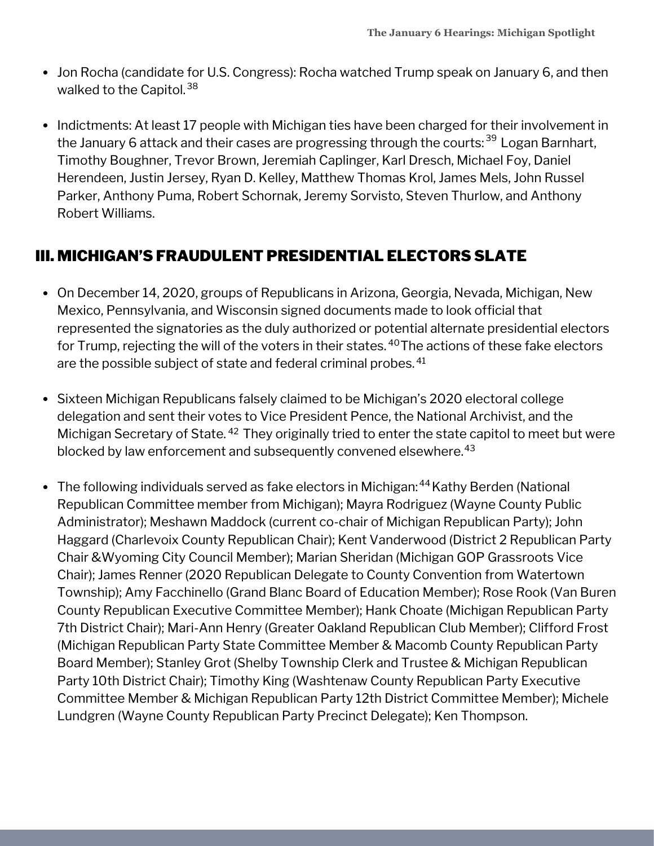- Jon Rocha (candidate for U.S. Congress): Rocha watched Trump speak on January 6, and then walked to the Capitol.<sup>38</sup>
- Indictments: At least 17 people with Michigan ties have been charged for their involvement in the January 6 attack and their cases are progressing through the courts:<sup>39</sup> Logan Barnhart, Timothy Boughner, Trevor Brown, Jeremiah Caplinger, Karl Dresch, Michael Foy, Daniel Herendeen, Justin Jersey, Ryan D. Kelley, Matthew Thomas Krol, James Mels, John Russel Parker, Anthony Puma, Robert Schornak, Jeremy Sorvisto, Steven Thurlow, and Anthony Robert Williams.

## III. MICHIGAN'S FRAUDULENT PRESIDENTIAL ELECTORS SLATE

- On December 14, 2020, groups of Republicans in Arizona, Georgia, Nevada, Michigan, New Mexico, Pennsylvania, and Wisconsin signed documents made to look official that represented the signatories as the duly authorized or potential alternate presidential electors for Trump, rejecting the will of the voters in their states.  $^{40}$ The actions of these fake electors are the possible subject of state and federal criminal probes. 41
- Sixteen Michigan Republicans falsely claimed to be Michigan's 2020 electoral college delegation and sent their votes to Vice President Pence, the National Archivist, and the Michigan Secretary of State. <sup>42</sup> They originally tried to enter the state capitol to meet but were blocked by law enforcement and subsequently convened elsewhere. 43
- The following individuals served as fake electors in Michigan: <sup>44</sup> Kathy Berden (National Republican Committee member from Michigan); Mayra Rodriguez (Wayne County Public Administrator); Meshawn Maddock (current co-chair of Michigan Republican Party); John Haggard (Charlevoix County Republican Chair); Kent Vanderwood (District 2 Republican Party Chair &Wyoming City Council Member); Marian Sheridan (Michigan GOP Grassroots Vice Chair); James Renner (2020 Republican Delegate to County Convention from Watertown Township); Amy Facchinello (Grand Blanc Board of Education Member); Rose Rook (Van Buren County Republican Executive Committee Member); Hank Choate (Michigan Republican Party 7th District Chair); Mari-Ann Henry (Greater Oakland Republican Club Member); Clifford Frost (Michigan Republican Party State Committee Member & Macomb County Republican Party Board Member); Stanley Grot (Shelby Township Clerk and Trustee & Michigan Republican Party 10th District Chair); Timothy King (Washtenaw County Republican Party Executive Committee Member & Michigan Republican Party 12th District Committee Member); Michele Lundgren (Wayne County Republican Party Precinct Delegate); Ken Thompson.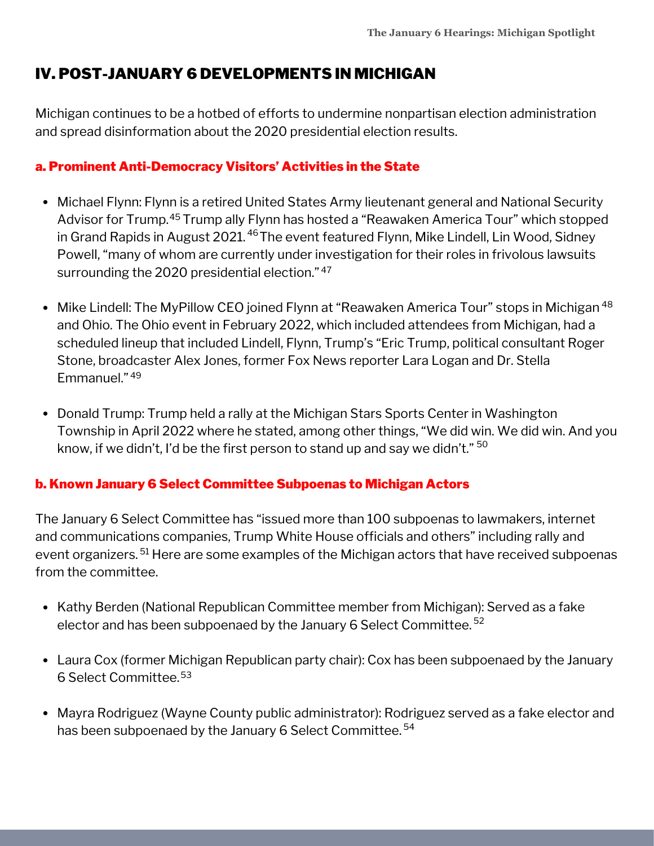## IV. POST-JANUARY 6 DEVELOPMENTS IN MICHIGAN

Michigan continues to be a hotbed of efforts to undermine nonpartisan election administration and spread disinformation about the 2020 presidential election results.

## a. Prominent Anti-Democracy Visitors' Activities in the State

- Michael Flynn: Flynn is a retired United States Army lieutenant general and National Security Advisor for Trump.<sup>45</sup> Trump ally Flynn has hosted a "Reawaken America Tour" which stopped in Grand Rapids in August 2021. <sup>46</sup> The event featured Flynn, Mike Lindell, Lin Wood, Sidney Powell, "many of whom are currently under investigation for their roles in frivolous lawsuits surrounding the 2020 presidential election." 47
- Mike Lindell: The MyPillow CEO joined Flynn at "Reawaken America Tour" stops in Michigan 48 and Ohio. The Ohio event in February 2022, which included attendees from Michigan, had a scheduled lineup that included Lindell, Flynn, Trump's "Eric Trump, political consultant Roger Stone, broadcaster Alex Jones, former Fox News reporter Lara Logan and Dr. Stella Emmanuel." 49
- Donald Trump: Trump held a rally at the Michigan Stars Sports Center in Washington Township in April 2022 where he stated, among other things, "We did win. We did win. And you know, if we didn't, I'd be the first person to stand up and say we didn't." <sup>50</sup>

## b. Known January 6 Select Committee Subpoenas to Michigan Actors

The January 6 Select Committee has "issued more than 100 subpoenas to lawmakers, internet and communications companies, Trump White House officials and others" including rally and event organizers. <sup>51</sup> Here are some examples of the Michigan actors that have received subpoenas from the committee.

- Kathy Berden (National Republican Committee member from Michigan): Served as a fake elector and has been subpoenaed by the January 6 Select Committee.<sup>52</sup>
- Laura Cox (former Michigan Republican party chair): Cox has been subpoenaed by the January 6 Select Committee. 53
- Mayra Rodriguez (Wayne County public administrator): Rodriguez served as a fake elector and has been subpoenaed by the January 6 Select Committee. 54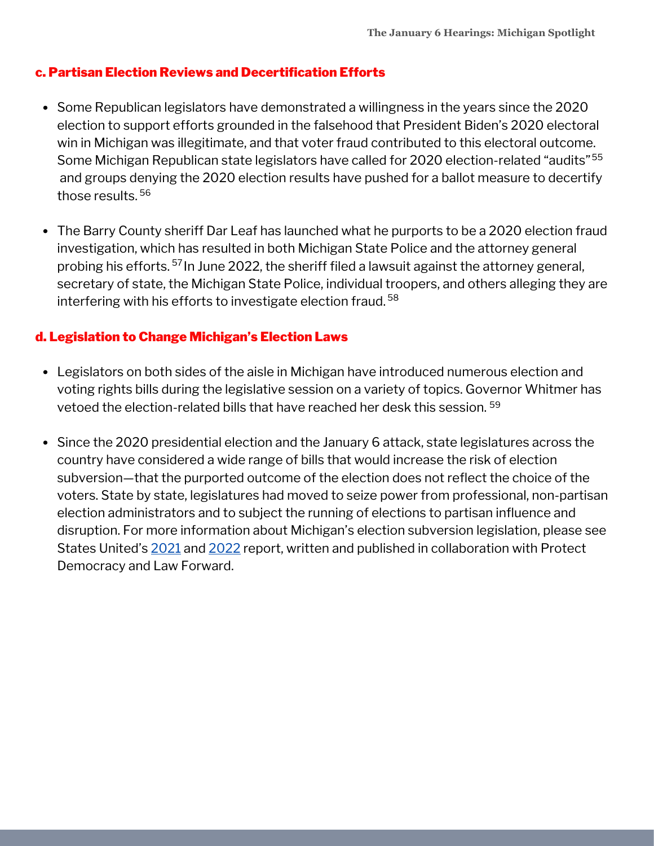#### c. Partisan Election Reviews and Decertification Efforts

- Some Republican legislators have demonstrated a willingness in the years since the 2020 election to support efforts grounded in the falsehood that President Biden's 2020 electoral win in Michigan was illegitimate, and that voter fraud contributed to this electoral outcome. Some Michigan Republican state legislators have called for 2020 election-related "audits" 55 and groups denying the 2020 election results have pushed for a ballot measure to decertify those results. 56
- The Barry County sheriff Dar Leaf has launched what he purports to be a 2020 election fraud investigation, which has resulted in both Michigan State Police and the attorney general probing his efforts. <sup>57</sup> In June 2022, the sheriff filed a lawsuit against the attorney general, secretary of state, the Michigan State Police, individual troopers, and others alleging they are interfering with his efforts to investigate election fraud. 58

#### d. Legislation to Change Michigan's Election Laws

- Legislators on both sides of the aisle in Michigan have introduced numerous election and voting rights bills during the legislative session on a variety of topics. Governor Whitmer has vetoed the election-related bills that have reached her desk this session. 59
- Since the 2020 presidential election and the January 6 attack, state legislatures across the country have considered a wide range of bills that would increase the risk of election subversion—that the purported outcome of the election does not reflect the choice of the voters. State by state, legislatures had moved to seize power from professional, non-partisan election administrators and to subject the running of elections to partisan influence and disruption. For more information about Michigan's election subversion legislation, please see States United's [2021](https://statesuniteddemocracy.org/wp-content/uploads/2021/04/FINAL-Democracy-Crisis-Report-April-21.pdf) and [2022](https://statesuniteddemocracy.org/wp-content/uploads/2022/05/DCITM_2022.pdf) report, written and published in collaboration with Protect Democracy and Law Forward.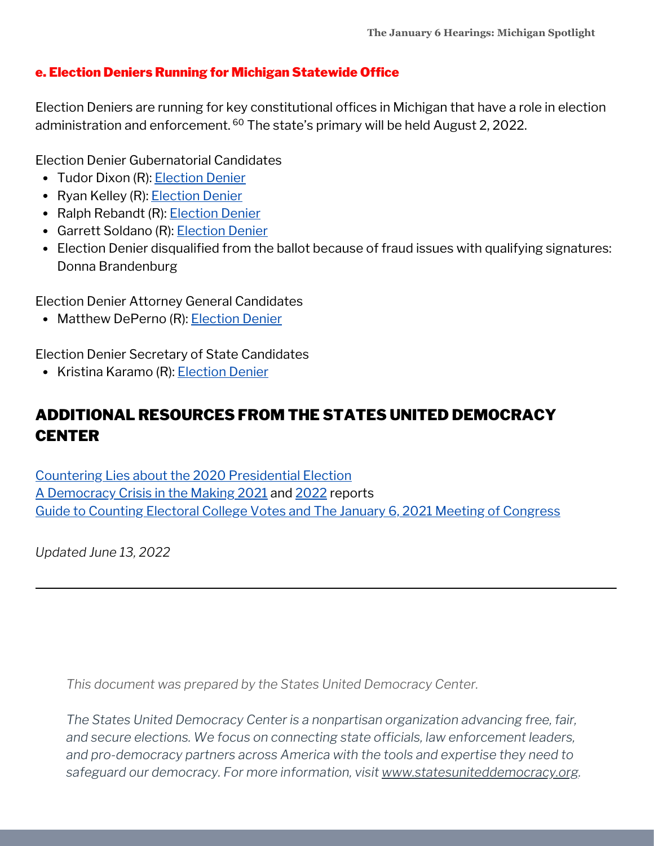#### e. Election Deniers Running for Michigan Statewide Office

Election Deniers are running for key constitutional offices in Michigan that have a role in election administration and enforcement. <sup>60</sup> The state's primary will be held August 2, 2022.

Election Denier Gubernatorial Candidates

- Tudor Dixon (R): [Election](https://statesuniteddemocracy.org/wp-content/uploads/2022/06/gov_deniers.html#418_Michigan_-_Tudor_Dixon) Denier
- Ryan Kelley (R): [Election](https://statesuniteddemocracy.org/wp-content/uploads/2022/06/gov_deniers.html#419_Michigan_-_Ryan_Kelley) Denier
- Ralph Rebandt (R): [Election](https://statesuniteddemocracy.org/wp-content/uploads/2022/06/gov_deniers.html#420_Michigan_-_Ralph_Rebandt) Denier
- Garrett Soldano (R): [Election](https://statesuniteddemocracy.org/wp-content/uploads/2022/06/gov_deniers.html#421_Michigan_-_Garrett_Soldano) Denier
- Election Denier disqualified from the ballot because of fraud issues with qualifying signatures: Donna Brandenburg

Election Denier Attorney General Candidates

• Matthew DePerno (R): [Election](https://statesuniteddemocracy.org/wp-content/uploads/2022/06/ag_deniers.html#49_Michigan_-_Matthew_DePerno) Denier

Election Denier Secretary of State Candidates

• Kristina Karamo (R): [Election](https://statesuniteddemocracy.org/wp-content/uploads/2022/06/sos_deniers.html#411_Michigan_-_Kristina_Karamo) Denier

## ADDITIONAL RESOURCES FROM THE STATES UNITED DEMOCRACY **CENTER**

Countering Lies about the 2020 [Presidential](https://statesuniteddemocracy.org/wp-content/uploads/2021/01/000A-Myths-and-Facts-of-the-2020-Presidential-Election-20210113-FINAL.pdf) Election A [Democracy](https://statesuniteddemocracy.org/resources/democracy-crisis-in-the-making-how-state-legislatures-are-politicizing-criminalizing-and-interfering-with-elections/) Crisis in the Making [2021](https://statesuniteddemocracy.org/wp-content/uploads/2021/04/FINAL-Democracy-Crisis-Report-April-21.pdf) and [2022](https://statesuniteddemocracy.org/wp-content/uploads/2022/05/DCITM_2022.pdf) reports Guide to Counting Electoral College Votes and The January 6, 2021 Meeting of [Congress](https://statesuniteddemocracy.org/wp-content/uploads/2021/01/VPP-Guide-to-Counting-Electoral-Votes.pdf)

*Updated June 13, 2022*

*This document was prepared by the States United Democracy Center.*

*The States United Democracy Center is a nonpartisan organization advancing free, fair, and secure elections. We focus on connecting state officials, law enforcement leaders, and pro-democracy partners across America with the tools and expertise they need to safeguard our democracy. For more information, visit [www.statesuniteddemocracy.org.](http://www.statesuniteddemocracy.org/)*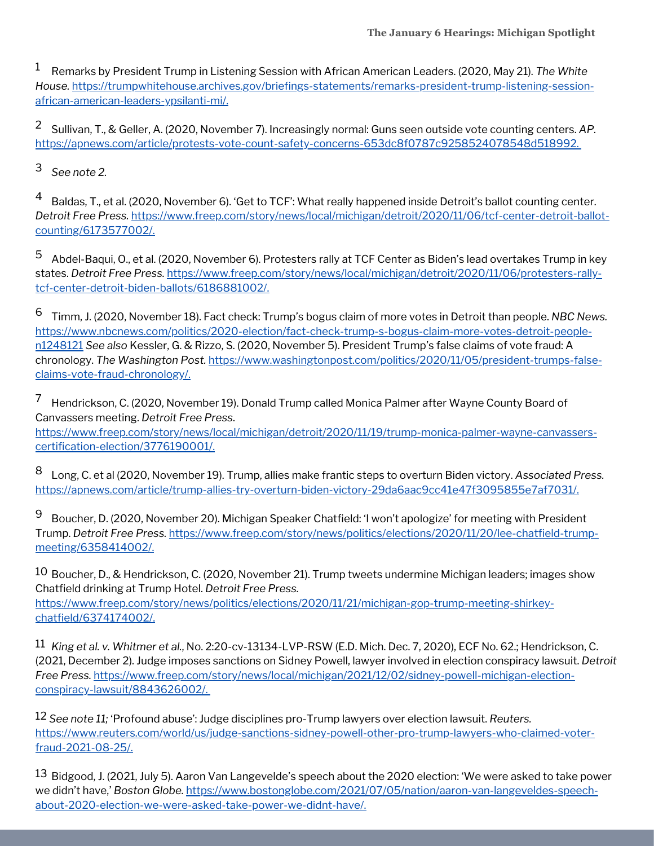Remarks by President Trump in Listening Session with African American Leaders. (2020, May 21). *The White* 1 *House.* [https://trumpwhitehouse.archives.gov/briefings-statements/remarks-president-trump-listening-session](https://trumpwhitehouse.archives.gov/briefings-statements/remarks-president-trump-listening-session-african-american-leaders-ypsilanti-mi/)african-american-leaders-ypsilanti-mi/.

<sup>2</sup> Sullivan, T., & Geller, A. (2020, November 7). Increasingly normal: Guns seen outside vote counting centers. AP. <https://apnews.com/article/protests-vote-count-safety-concerns-653dc8f0787c9258524078548d518992>.

*See note 2.* 3

Baldas, T., et al. (2020, November 6). 'Get to TCF': What really happened inside Detroit's ballot counting center. *Detroit Free Press.* [https://www.freep.com/story/news/local/michigan/detroit/2020/11/06/tcf-center-detroit-ballot](https://www.freep.com/story/news/local/michigan/detroit/2020/11/06/tcf-center-detroit-ballot-counting/6173577002/)counting/6173577002/. 4

 $^5$  Abdel-Baqui, O., et al. (2020, November 6). Protesters rally at TCF Center as Biden's lead overtakes Trump in key states. *Detroit Free Press.* [https://www.freep.com/story/news/local/michigan/detroit/2020/11/06/protesters-rally](https://www.freep.com/story/news/local/michigan/detroit/2020/11/06/protesters-rally-tcf-center-detroit-biden-ballots/6186881002/)tcf-center-detroit-biden-ballots/6186881002/.

Timm, J. (2020, November 18). Fact check: Trump's bogus claim of more votes in Detroit than people. *NBC News.* 6 [https://www.nbcnews.com/politics/2020-election/fact-check-trump-s-bogus-claim-more-votes-detroit-people](https://www.nbcnews.com/politics/2020-election/fact-check-trump-s-bogus-claim-more-votes-detroit-people-n1248121)n1248121 *See also* Kessler, G. & Rizzo, S. (2020, November 5). President Trump's false claims of vote fraud: A chronology. *The Washington Post.* [https://www.washingtonpost.com/politics/2020/11/05/president-trumps-false](https://www.washingtonpost.com/politics/2020/11/05/president-trumps-false-claims-vote-fraud-chronology/)claims-vote-fraud-chronology/.

 $^7$  Hendrickson, C. (2020, November 19). Donald Trump called Monica Palmer after Wayne County Board of Canvassers meeting. *Detroit Free Press*. [https://www.freep.com/story/news/local/michigan/detroit/2020/11/19/trump-monica-palmer-wayne-canvassers-](https://www.freep.com/story/news/local/michigan/detroit/2020/11/19/trump-monica-palmer-wayne-canvassers-certification-election/3776190001/)

certification-election/3776190001/.

Long, C. et al (2020, November 19). Trump, allies make frantic steps to overturn Biden victory. *Associated Press.* <https://apnews.com/article/trump-allies-try-overturn-biden-victory-29da6aac9cc41e47f3095855e7af7031/>. 8

Boucher, D. (2020, November 20). Michigan Speaker Chatfield: 'I won't apologize' for meeting with President Trump. *Detroit Free Press.* [https://www.freep.com/story/news/politics/elections/2020/11/20/lee-chatfield-trump](https://www.freep.com/story/news/politics/elections/2020/11/20/lee-chatfield-trump-meeting/6358414002/)meeting/6358414002/. 9

10 Boucher, D., & Hendrickson, C. (2020, November 21). Trump tweets undermine Michigan leaders; images show Chatfield drinking at Trump Hotel. *Detroit Free Press.* [https://www.freep.com/story/news/politics/elections/2020/11/21/michigan-gop-trump-meeting-shirkey](https://www.freep.com/story/news/politics/elections/2020/11/21/michigan-gop-trump-meeting-shirkey-chatfield/6374174002/)chatfield/6374174002/.

11 *King et al. v. Whitmer et al.*, No. 2:20-cv-13134-LVP-RSW (E.D. Mich. Dec. 7, 2020), ECF No. 62.; Hendrickson, C. (2021, December 2). Judge imposes sanctions on Sidney Powell, lawyer involved in election conspiracy lawsuit. *Detroit Free Press.* [https://www.freep.com/story/news/local/michigan/2021/12/02/sidney-powell-michigan-election](https://www.freep.com/story/news/local/michigan/2021/12/02/sidney-powell-michigan-election-conspiracy-lawsuit/8843626002/)conspiracy-lawsuit/8843626002/.

12 *See note 11;* 'Profound abuse': Judge disciplines pro-Trump lawyers over election lawsuit. *Reuters.* [https://www.reuters.com/world/us/judge-sanctions-sidney-powell-other-pro-trump-lawyers-who-claimed-voter](https://www.reuters.com/world/us/judge-sanctions-sidney-powell-other-pro-trump-lawyers-who-claimed-voter-fraud-2021-08-25/)fraud-2021-08-25/.

13 Bidgood, J. (2021, July 5). Aaron Van Langevelde's speech about the 2020 election: 'We were asked to take power we didn't have,' *Boston Globe.* [https://www.bostonglobe.com/2021/07/05/nation/aaron-van-langeveldes-speech](https://www.bostonglobe.com/2021/07/05/nation/aaron-van-langeveldes-speech-about-2020-election-we-were-asked-take-power-we-didnt-have/)about-2020-election-we-were-asked-take-power-we-didnt-have/.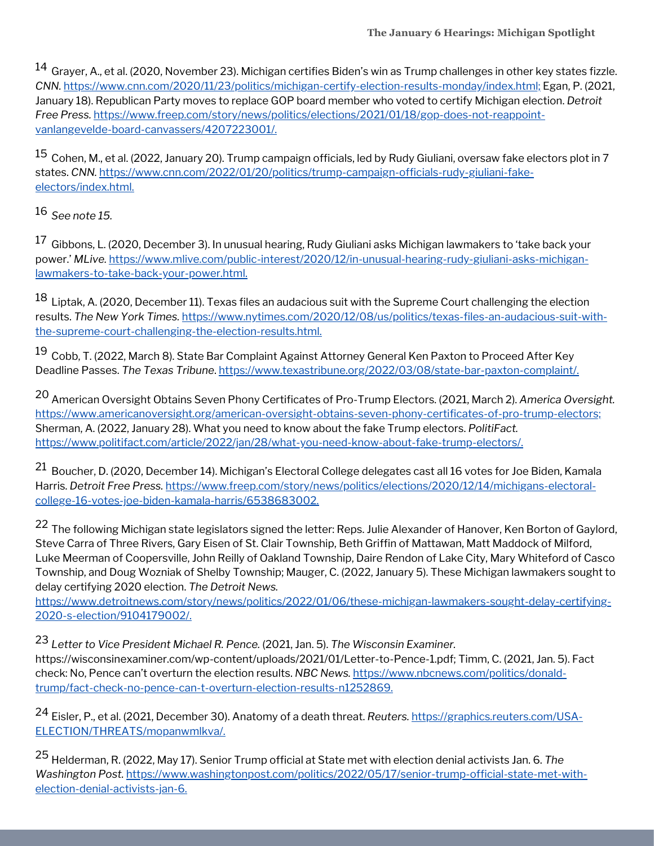$^{14}$  Grayer, A., et al. (2020, November 23). Michigan certifies Biden's win as Trump challenges in other key states fizzle. *CNN.* <https://www.cnn.com/2020/11/23/politics/michigan-certify-election-results-monday/index.html;> Egan, P. (2021, January 18). Republican Party moves to replace GOP board member who voted to certify Michigan election. *Detroit Free Press.* [https://www.freep.com/story/news/politics/elections/2021/01/18/gop-does-not-reappoint](https://www.freep.com/story/news/politics/elections/2021/01/18/gop-does-not-reappoint-vanlangevelde-board-canvassers/4207223001/)vanlangevelde-board-canvassers/4207223001/.

 $^{15}$  Cohen, M., et al. (2022, January 20). Trump campaign officials, led by Rudy Giuliani, oversaw fake electors plot in 7 states. *CNN.* [https://www.cnn.com/2022/01/20/politics/trump-campaign-officials-rudy-giuliani-fake](https://www.cnn.com/2022/01/20/politics/trump-campaign-officials-rudy-giuliani-fake-electors/index.html)electors/index.html.

*See note 15.* 16

 $^{17}$  Gibbons, L. (2020, December 3). In unusual hearing, Rudy Giuliani asks Michigan lawmakers to 'take back your power.' *MLive.* [https://www.mlive.com/public-interest/2020/12/in-unusual-hearing-rudy-giuliani-asks-michigan](https://www.mlive.com/public-interest/2020/12/in-unusual-hearing-rudy-giuliani-asks-michigan-lawmakers-to-take-back-your-power.html)lawmakers-to-take-back-your-power.html.

 $^{18}$  Liptak, A. (2020, December 11). Texas files an audacious suit with the Supreme Court challenging the election results. *The New York Times.* [https://www.nytimes.com/2020/12/08/us/politics/texas-files-an-audacious-suit-with](https://www.nytimes.com/2020/12/08/us/politics/texas-files-an-audacious-suit-with-the-supreme-court-challenging-the-election-results.html.)the-supreme-court-challenging-the-election-results.html.

<sup>19</sup> Cobb, T. (2022, March 8). State Bar Complaint Against Attorney General Ken Paxton to Proceed After Key Deadline Passes. *The Texas Tribune*. https://www.texastribune.org/2022/03/08/state-bar-paxton-complaint/.

American Oversight Obtains Seven Phony Certificates of Pro-Trump Electors. (2021, March 2). *America Oversight.* 20 <https://www.americanoversight.org/american-oversight-obtains-seven-phony-certificates-of-pro-trump-electors;> Sherman, A. (2022, January 28). What you need to know about the fake Trump electors. *PolitiFact.* [https://www.politifact.com/article/2022/jan/28/what-you-need-know-about-fake-trump-electors/.](https://www.politifact.com/article/2022/jan/28/what-you-need-know-about-fake-trump-electors/)

 $^{21}$  Boucher, D. (2020, December 14). Michigan's Electoral College delegates cast all 16 votes for Joe Biden, Kamala Harris. *Detroit Free Press.* [https://www.freep.com/story/news/politics/elections/2020/12/14/michigans-electoral](https://www.freep.com/story/news/politics/elections/2020/12/14/michigans-electoral-college-16-votes-joe-biden-kamala-harris/6538683002)college-16-votes-joe-biden-kamala-harris/6538683002.

<sup>22</sup> The following Michigan state legislators signed the letter: Reps. Julie Alexander of Hanover, Ken Borton of Gaylord, Steve Carra of Three Rivers, Gary Eisen of St. Clair Township, Beth Griffin of Mattawan, Matt Maddock of Milford, Luke Meerman of Coopersville, John Reilly of Oakland Township, Daire Rendon of Lake City, Mary Whiteford of Casco Township, and Doug Wozniak of Shelby Township; Mauger, C. (2022, January 5). These Michigan lawmakers sought to delay certifying 2020 election. *The Detroit News.*

[https://www.detroitnews.com/story/news/politics/2022/01/06/these-michigan-lawmakers-sought-delay-certifying-](https://www.detroitnews.com/story/news/politics/2022/01/06/these-michigan-lawmakers-sought-delay-certifying-2020-s-election/9104179002/)2020-s-election/9104179002/.

*Letter to Vice President Michael R. Pence.* (2021, Jan. 5). *The Wisconsin Examiner.* 23 [https://wisconsinexaminer.com/wp-content/uploads/2021/01/Letter-to-Pence-1.pdf;](https://wisconsinexaminer.com/wp-content/uploads/2021/01/Letter-to-Pence-1.pdf) Timm, C. (2021, Jan. 5). Fact check: No, Pence can't overturn the election results. *NBC News.* https://www.nbcnews.com/politics/donald[trump/fact-check-no-pence-can-t-overturn-election-results-n1252869.](https://www.nbcnews.com/politics/donald-trump/fact-check-no-pence-can-t-overturn-election-results-n1252869)

Eisler, P., et al. (2021, December 30). Anatomy of a death threat. *Reuters.* https://graphics.reuters.com/USA-24 [ELECTION/THREATS/mopanwmlkva/.](http://ttps/graphics.reuters.com/USA-ELECTION/THREATS/mopanwmlkva/)

Helderman, R. (2022, May 17). Senior Trump official at State met with election denial activists Jan. 6. *The* 25*Washington Post.* [https://www.washingtonpost.com/politics/2022/05/17/senior-trump-official-state-met-with](https://www.washingtonpost.com/politics/2022/05/17/senior-trump-official-state-met-with-election-denial-activists-jan-6)election-denial-activists-jan-6.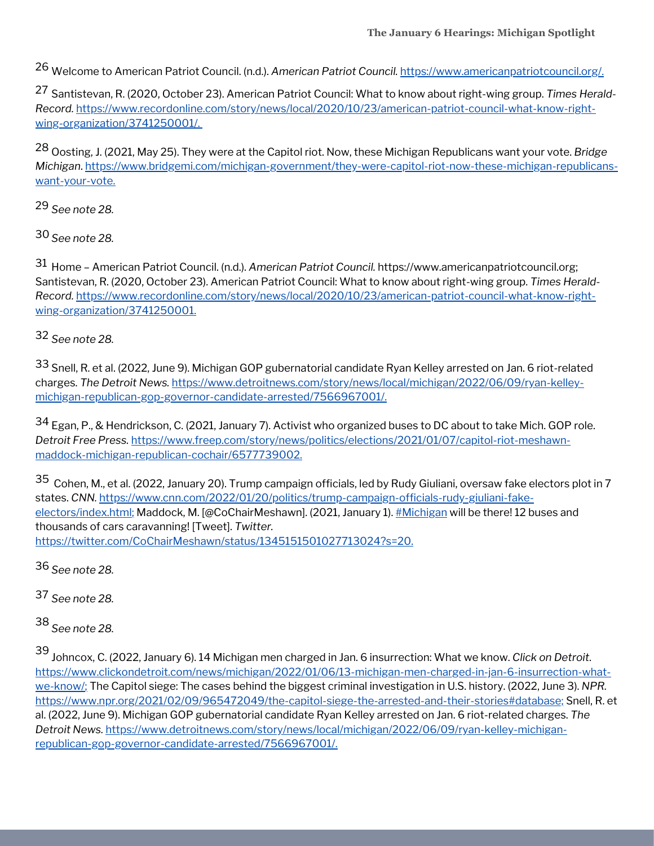Welcome to American Patriot Council. (n.d.). *American Patriot Council.* <https://www.americanpatriotcouncil.org/>. 26

Santistevan, R. (2020, October 23). American Patriot Council: What to know about right-wing group. *Times Herald-*27 *Record.* [https://www.recordonline.com/story/news/local/2020/10/23/american-patriot-council-what-know-right](https://www.recordonline.com/story/news/local/2020/10/23/american-patriot-council-what-know-right-wing-organization/3741250001/)wing-organization/3741250001/.

Oosting, J. (2021, May 25). They were at the Capitol riot. Now, these Michigan Republicans want your vote. *Bridge* 28 *Michigan*. [https://www.bridgemi.com/michigan-government/they-were-capitol-riot-now-these-michigan-republicans](https://www.bridgemi.com/michigan-government/they-were-capitol-riot-now-these-michigan-republicans-want-your-vote)want-your-vote.

*See note 28.* 29

*See note 28.* 30

Home – American Patriot Council. (n.d.). *American Patriot Council.* [https://www.americanpatriotcouncil.org](https://www.americanpatriotcouncil.org/); 31 Santistevan, R. (2020, October 23). American Patriot Council: What to know about right-wing group. *Times Herald-Record.* [https://www.recordonline.com/story/news/local/2020/10/23/american-patriot-council-what-know-right](https://www.recordonline.com/story/news/local/2020/10/23/american-patriot-council-what-know-right-wing-organization/3741250001)wing-organization/3741250001.

*See note 28.* 32

33 Snell, R. et al. (2022, June 9). Michigan GOP gubernatorial candidate Ryan Kelley arrested on Jan. 6 riot-related charges. *The Detroit News.* [https://www.detroitnews.com/story/news/local/michigan/2022/06/09/ryan-kelley](https://www.detroitnews.com/story/news/local/michigan/2022/06/09/ryan-kelley-michigan-republican-gop-governor-candidate-arrested/7566967001/)michigan-republican-gop-governor-candidate-arrested/7566967001/.

34 Egan, P., & Hendrickson, C. (2021, January 7). Activist who organized buses to DC about to take Mich. GOP role. *Detroit Free Press.* [https://www.freep.com/story/news/politics/elections/2021/01/07/capitol-riot-meshawn](https://www.freep.com/story/news/politics/elections/2021/01/07/capitol-riot-meshawn-maddock-michigan-republican-cochair/6577739002)maddock-michigan-republican-cochair/6577739002.

 $^{35}$  Cohen, M., et al. (2022, January 20). Trump campaign officials, led by Rudy Giuliani, oversaw fake electors plot in 7 states. *CNN.* [https://www.cnn.com/2022/01/20/politics/trump-campaign-officials-rudy-giuliani-fake](https://www.cnn.com/2022/01/20/politics/trump-campaign-officials-rudy-giuliani-fake-electors/index.html)electors/index.html; Maddock, M. [@CoChairMeshawn]. (2021, January 1). [#Michigan](https://twitter.com/hashtag/Michigan?src=hashtag_click) will be there! 12 buses and thousands of cars caravanning! [Tweet]. *Twitter.* <https://twitter.com/CoChairMeshawn/status/1345151501027713024?s=20>.

*See note 28.* 36

*See note 28.* 37

*See note 28.* 38

Johncox, C. (2022, January 6). 14 Michigan men charged in Jan. 6 insurrection: What we know. *Click on Detroit*. 39[https://www.clickondetroit.com/news/michigan/2022/01/06/13-michigan-men-charged-in-jan-6-insurrection-what](https://www.clickondetroit.com/news/michigan/2022/01/06/13-michigan-men-charged-in-jan-6-insurrection-what-we-know/)we-know/; The Capitol siege: The cases behind the biggest criminal investigation in U.S. history. (2022, June 3). *NPR.* [https://www.npr.org/2021/02/09/965472049/the-capitol-siege-the-arrested-and-their-stories#database;](https://www.npr.org/2021/02/09/965472049/the-capitol-siege-the-arrested-and-their-stories#database) Snell, R. et al. (2022, June 9). Michigan GOP gubernatorial candidate Ryan Kelley arrested on Jan. 6 riot-related charges. *The Detroit News.* [https://www.detroitnews.com/story/news/local/michigan/2022/06/09/ryan-kelley-michigan](https://www.detroitnews.com/story/news/local/michigan/2022/06/09/ryan-kelley-michigan-republican-gop-governor-candidate-arrested/7566967001/)republican-gop-governor-candidate-arrested/7566967001/.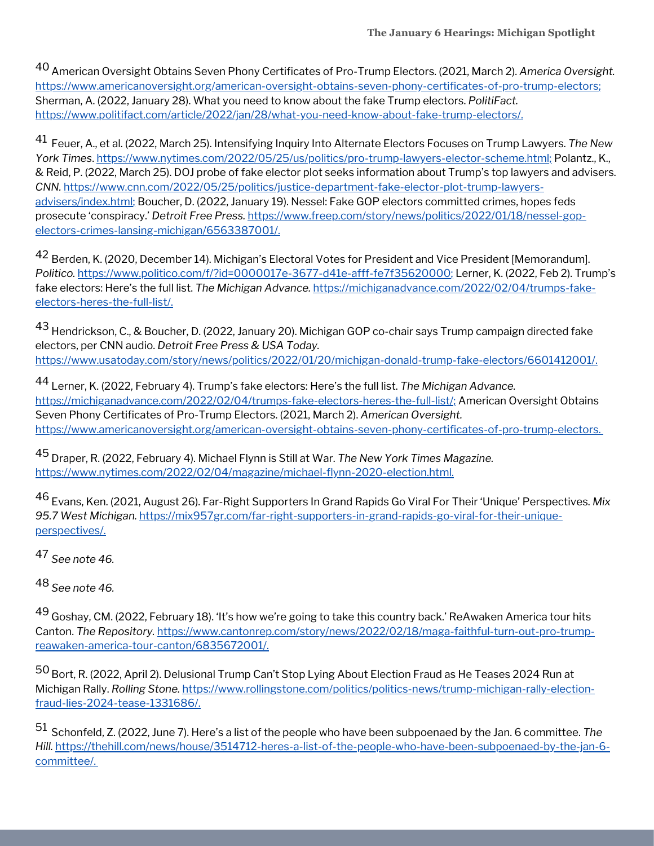American Oversight Obtains Seven Phony Certificates of Pro-Trump Electors. (2021, March 2). *America Oversight.* 40 <https://www.americanoversight.org/american-oversight-obtains-seven-phony-certificates-of-pro-trump-electors>; Sherman, A. (2022, January 28). What you need to know about the fake Trump electors. *PolitiFact.* [https://www.politifact.com/article/2022/jan/28/what-you-need-know-about-fake-trump-electors/.](https://www.politifact.com/article/2022/jan/28/what-you-need-know-about-fake-trump-electors/)

Feuer, A., et al. (2022, March 25). Intensifying Inquiry Into Alternate Electors Focuses on Trump Lawyers. *The New* 41 *York Times*. [https://www.nytimes.com/2022/05/25/us/politics/pro-trump-lawyers-elector-scheme.html;](https://www.nytimes.com/2022/05/25/us/politics/pro-trump-lawyers-elector-scheme.html) Polantz., K., & Reid, P. (2022, March 25). DOJ probe of fake elector plot seeks information about Trump's top lawyers and advisers. *CNN.* [https://www.cnn.com/2022/05/25/politics/justice-department-fake-elector-plot-trump-lawyers](https://www.cnn.com/2022/05/25/politics/justice-department-fake-elector-plot-trump-lawyers-advisers/index.html)advisers/index.html; Boucher, D. (2022, January 19). Nessel: Fake GOP electors committed crimes, hopes feds prosecute 'conspiracy.' *Detroit Free Press.* [https://www.freep.com/story/news/politics/2022/01/18/nessel-gop](https://www.freep.com/story/news/politics/2022/01/18/nessel-gop-electors-crimes-lansing-michigan/6563387001/)electors-crimes-lansing-michigan/6563387001/.

 $^{42}$  Berden, K. (2020, December 14). Michigan's Electoral Votes for President and Vice President [Memorandum]. *Politico.* <https://www.politico.com/f/?id=0000017e-3677-d41e-afff-fe7f35620000>; Lerner, K. (2022, Feb 2). Trump's fake electors: Here's the full list. *The Michigan Advance.* [https://michiganadvance.com/2022/02/04/trumps-fake](https://michiganadvance.com/2022/02/04/trumps-fake-electors-heres-the-full-list/)electors-heres-the-full-list/.

<sup>43</sup> Hendrickson, C., & Boucher, D. (2022, January 20). Michigan GOP co-chair says Trump campaign directed fake electors, per CNN audio. *Detroit Free Press & USA Today.* <https://www.usatoday.com/story/news/politics/2022/01/20/michigan-donald-trump-fake-electors/6601412001/>.

Lerner, K. (2022, February 4). Trump's fake electors: Here's the full list. *The Michigan Advance.* 44 [https://michiganadvance.com/2022/02/04/trumps-fake-electors-heres-the-full-list/;](https://michiganadvance.com/2022/02/04/trumps-fake-electors-heres-the-full-list/) American Oversight Obtains Seven Phony Certificates of Pro-Trump Electors. (2021, March 2). *American Oversight.* <https://www.americanoversight.org/american-oversight-obtains-seven-phony-certificates-of-pro-trump-electors>.

Draper, R. (2022, February 4). Michael Flynn is Still at War. *The New York Times Magazine.* 45 <https://www.nytimes.com/2022/02/04/magazine/michael-flynn-2020-election.html>.

Evans, Ken. (2021, August 26). Far-Right Supporters In Grand Rapids Go Viral For Their 'Unique' Perspectives. *Mix* 46 *95.7 West Michigan.* [https://mix957gr.com/far-right-supporters-in-grand-rapids-go-viral-for-their-unique](https://mix957gr.com/far-right-supporters-in-grand-rapids-go-viral-for-their-unique-perspectives/)perspectives/.

*See note 46.* 47

*See note 46.* 48

<sup>49</sup> Goshay, CM. (2022, February 18). 'It's how we're going to take this country back.' ReAwaken America tour hits Canton. *The Repository.* [https://www.cantonrep.com/story/news/2022/02/18/maga-faithful-turn-out-pro-trump](https://www.cantonrep.com/story/news/2022/02/18/maga-faithful-turn-out-pro-trump-reawaken-america-tour-canton/6835672001/)reawaken-america-tour-canton/6835672001/.

 $^{50}$  Bort, R. (2022, April 2). Delusional Trump Can't Stop Lying About Election Fraud as He Teases 2024 Run at Michigan Rally. *Rolling Stone.* [https://www.rollingstone.com/politics/politics-news/trump-michigan-rally-election](https://www.rollingstone.com/politics/politics-news/trump-michigan-rally-election-fraud-lies-2024-tease-1331686/)fraud-lies-2024-tease-1331686/.

Schonfeld, Z. (2022, June 7). Here's a list of the people who have been subpoenaed by the Jan. 6 committee. *The* 51*Hill.* [https://thehill.com/news/house/3514712-heres-a-list-of-the-people-who-have-been-subpoenaed-by-the-jan-6](https://thehill.com/news/house/3514712-heres-a-list-of-the-people-who-have-been-subpoenaed-by-the-jan-6-committee/) committee/.